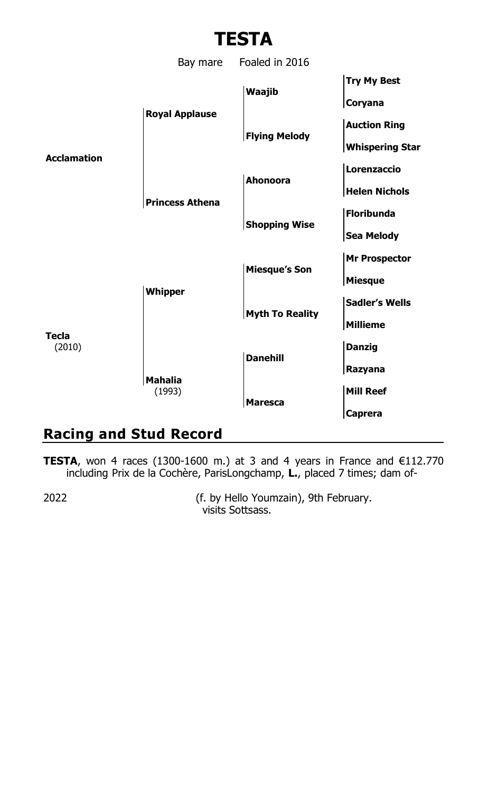

## **Racing and Stud Record**

**TESTA**, won 4 races (1300-1600 m.) at 3 and 4 years in France and  $€112.770$ including Prix de la Cochère, ParisLongchamp, **L.**, placed 7 times; dam of-

2022 (f. by Hello Youmzain), 9th February. visits Sottsass.